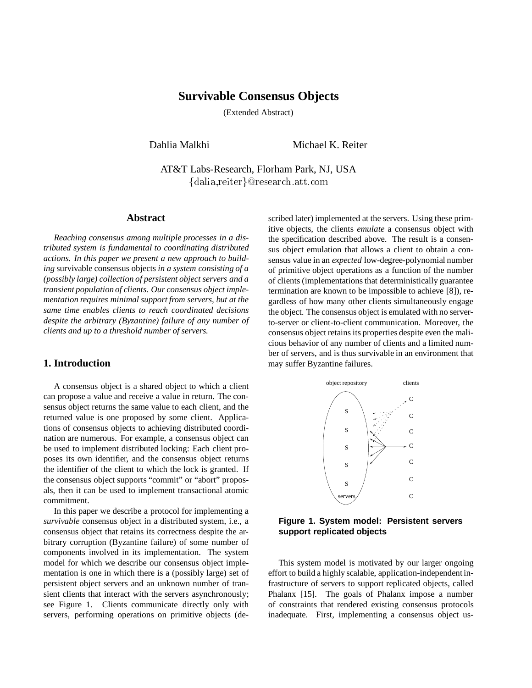# **Survivable Consensus Objects**

(Extended Abstract)

Dahlia Malkhi Michael K. Reiter

AT&T Labs-Research, Florham Park, NJ, USA {dalia,reiter}@research.att.com

#### **Abstract**

*Reaching consensus among multiple processes in a distributed system is fundamental to coordinating distributed actions. In this paper we present a new approach to building* survivable consensus objects *in a system consisting of a (possibly large) collection of persistent object servers and a transient population of clients. Our consensus object implementation requires minimal support from servers, but at the same time enables clients to reach coordinated decisions despite the arbitrary (Byzantine) failure of any number of clients and up to a threshold number of servers.*

# **1. Introduction**

A consensus object is a shared object to which a client can propose a value and receive a value in return. The consensus object returns the same value to each client, and the returned value is one proposed by some client. Applications of consensus objects to achieving distributed coordination are numerous. For example, a consensus object can be used to implement distributed locking: Each client proposes its own identifier, and the consensus object returns the identifier of the client to which the lock is granted. If the consensus object supports "commit" or "abort" proposals, then it can be used to implement transactional atomic commitment.

In this paper we describe a protocol for implementing a *survivable* consensus object in a distributed system, i.e., a consensus object that retains its correctness despite the arbitrary corruption (Byzantine failure) of some number of components involved in its implementation. The system model for which we describe our consensus object implementation is one in which there is a (possibly large) set of persistent object servers and an unknown number of transient clients that interact with the servers asynchronously; see Figure 1. Clients communicate directly only with servers, performing operations on primitive objects (described later) implemented at the servers. Using these primitive objects, the clients *emulate* a consensus object with the specification described above. The result is a consensus object emulation that allows a client to obtain a consensus value in an *expected* low-degree-polynomial number of primitive object operations as a function of the number of clients (implementations that deterministically guarantee termination are known to be impossible to achieve [8]), regardless of how many other clients simultaneously engage the object. The consensus object is emulated with no serverto-server or client-to-client communication. Moreover, the consensus object retains its properties despite even the malicious behavior of any number of clients and a limited number of servers, and is thus survivable in an environment that may suffer Byzantine failures.



**Figure 1. System model: Persistent servers support replicated objects**

This system model is motivated by our larger ongoing effort to build a highly scalable, application-independent infrastructure of servers to support replicated objects, called Phalanx [15]. The goals of Phalanx impose a number of constraints that rendered existing consensus protocols inadequate. First, implementing a consensus object us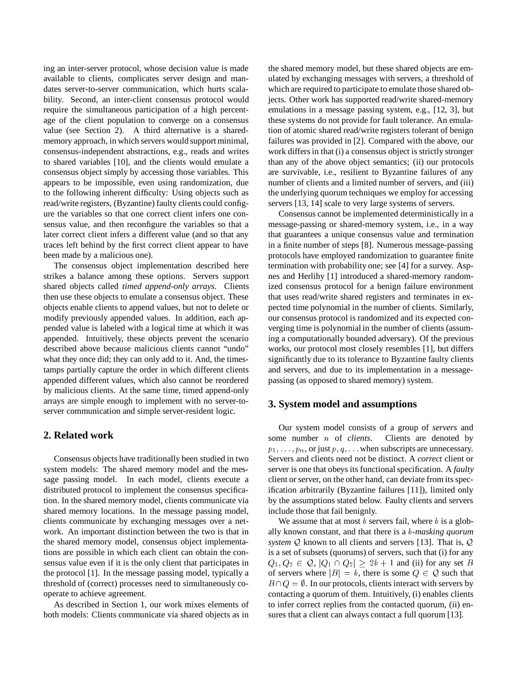ing an inter-server protocol, whose decision value is made available to clients, complicates server design and mandates server-to-server communication, which hurts scalability. Second, an inter-client consensus protocol would require the simultaneous participation of a high percentage of the client population to converge on a consensus value (see Section 2). A third alternative is a sharedmemory approach, in which servers would support minimal, consensus-independent abstractions, e.g., reads and writes to shared variables [10], and the clients would emulate a consensus object simply by accessing those variables. This appears to be impossible, even using randomization, due to the following inherent difficulty: Using objects such as read/write registers, (Byzantine) faulty clients could configure the variables so that one correct client infers one consensus value, and then reconfigure the variables so that a later correct client infers a different value (and so that any traces left behind by the first correct client appear to have been made by a malicious one).

The consensus object implementation described here strikes a balance among these options. Servers support shared objects called *timed append-only arrays*. Clients then use these objects to emulate a consensus object. These objects enable clients to append values, but not to delete or modify previously appended values. In addition, each appended value is labeled with a logical time at which it was appended. Intuitively, these objects prevent the scenario described above because malicious clients cannot "undo" what they once did; they can only add to it. And, the timestamps partially capture the order in which different clients appended different values, which also cannot be reordered by malicious clients. At the same time, timed append-only arrays are simple enough to implement with no server-toserver communication and simple server-resident logic.

## **2. Related work**

Consensus objects have traditionally been studied in two system models: The shared memory model and the message passing model. In each model, clients execute a distributed protocol to implement the consensus specification. In the shared memory model, clients communicate via shared memory locations. In the message passing model, clients communicate by exchanging messages over a network. An important distinction between the two is that in the shared memory model, consensus object implementations are possible in which each client can obtain the consensus value even if it is the only client that participates in the protocol [1]. In the message passing model, typically a threshold of (correct) processes need to simultaneously cooperate to achieve agreement.

As described in Section 1, our work mixes elements of both models: Clients communicate via shared objects as in

the shared memory model, but these shared objects are emulated by exchanging messages with servers, a threshold of which are required to participate to emulate those shared objects. Other work has supported read/write shared-memory emulations in a message passing system, e.g., [12, 3], but these systems do not provide for fault tolerance. An emulation of atomic shared read/write registers tolerant of benign failures was provided in [2]. Compared with the above, our work differs in that (i) a consensus object is strictly stronger than any of the above object semantics; (ii) our protocols are survivable, i.e., resilient to Byzantine failures of any number of clients and a limited number of servers, and (iii) the underlying quorum techniques we employ for accessing servers [13, 14] scale to very large systems of servers.

Consensus cannot be implemented deterministically in a message-passing or shared-memory system, i.e., in a way that guarantees a unique consensus value and termination in a finite number of steps [8]. Numerous message-passing protocols have employed randomization to guarantee finite termination with probability one; see [4] for a survey. Aspnes and Herlihy [1] introduced a shared-memory randomized consensus protocol for a benign failure environment that uses read/write shared registers and terminates in expected time polynomial in the number of clients. Similarly, our consensus protocol is randomized and its expected converging time is polynomial in the number of clients (assuming a computationally bounded adversary). Of the previous works, our protocol most closely resembles [1], but differs significantly due to its tolerance to Byzantine faulty clients and servers, and due to its implementation in a messagepassing (as opposed to shared memory) system.

## **3. System model and assumptions**

Our system model consists of a group of *servers* and some number <sup>n</sup> of *clients*. Clients are denoted by  $p_1, \ldots, p_n$ , or just  $p, q, \ldots$  when subscripts are unnecessary. Servers and clients need not be distinct. A *correct* client or server is one that obeys its functional specification. A *faulty* client or server, on the other hand, can deviate from its specification arbitrarily (Byzantine failures [11]), limited only by the assumptions stated below. Faulty clients and servers include those that fail benignly.

We assume that at most  $b$  servers fail, where  $b$  is a globally known constant, and that there is a <sup>b</sup>*-masking quorum system* <sup>Q</sup> known to all clients and servers [13]. That is, <sup>Q</sup> is a set of subsets (quorums) of servers, such that (i) for any  $Q_1, Q_2 \in \mathcal{Q}, |Q_1 \cap Q_2| \geq 2b + 1$  and (ii) for any set B of servers where  $|B| = b$ , there is some  $Q \in \mathcal{Q}$  such that  $B \cap Q = \emptyset$ . In our protocols, clients interact with servers by contacting a quorum of them. Intuitively, (i) enables clients to infer correct replies from the contacted quorum, (ii) ensures that a client can always contact a full quorum [13].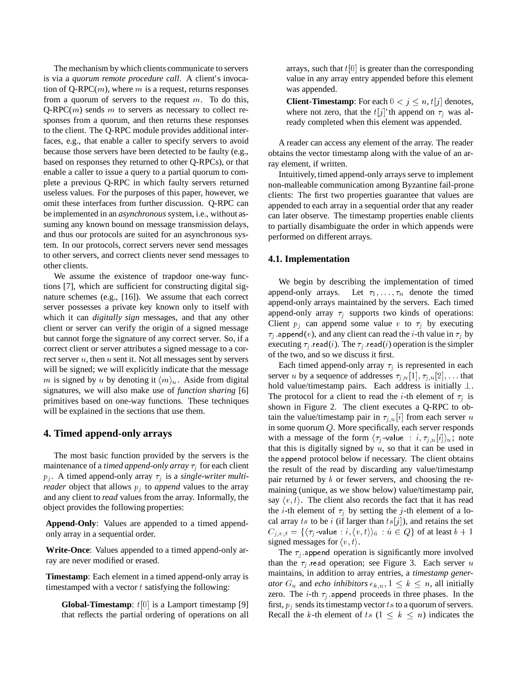The mechanism by which clients communicate to servers is via a *quorum remote procedure call*. A client's invocation of Q-RPC $(m)$ , where m is a request, returns responses from a quorum of servers to the request  $m$ . To do this,  $Q-RPC(m)$  sends m to servers as necessary to collect responses from a quorum, and then returns these responses to the client. The Q-RPC module provides additional interfaces, e.g., that enable a caller to specify servers to avoid because those servers have been detected to be faulty (e.g., based on responses they returned to other Q-RPCs), or that enable a caller to issue a query to a partial quorum to complete a previous Q-RPC in which faulty servers returned useless values. For the purposes of this paper, however, we omit these interfaces from further discussion. Q-RPC can be implemented in an *asynchronous* system, i.e., without assuming any known bound on message transmission delays, and thus our protocols are suited for an asynchronous system. In our protocols, correct servers never send messages to other servers, and correct clients never send messages to other clients.

We assume the existence of trapdoor one-way functions [7], which are sufficient for constructing digital signature schemes (e.g., [16]). We assume that each correct server possesses a private key known only to itself with which it can *digitally sign* messages, and that any other client or server can verify the origin of a signed message but cannot forge the signature of any correct server. So, if a correct client or server attributes a signed message to a correct server  $u$ , then  $u$  sent it. Not all messages sent by servers will be signed; we will explicitly indicate that the message m is signed by u by denoting it  $\langle m \rangle$ <sup>u</sup>. Aside from digital signatures, we will also make use of *function sharing* [6] primitives based on one-way functions. These techniques will be explained in the sections that use them.

# **4. Timed append-only arrays**

The most basic function provided by the servers is the maintenance of a *timed append-only array*  $\tau_i$  for each client  $p_i$ . A timed append-only array  $\tau_i$  is a *single-writer multireader* object that allows  $p_i$  to *append* values to the array and any client to *read* values from the array. Informally, the object provides the following properties:

**Append-Only**: Values are appended to a timed appendonly array in a sequential order.

**Write-Once**: Values appended to a timed append-only array are never modified or erased.

**Timestamp**: Each element in a timed append-only array is timestamped with a vector  $t$  satisfying the following:

**Global-Timestamp**:  $t[0]$  is a Lamport timestamp [9] that reflects the partial ordering of operations on all

arrays, such that  $t[0]$  is greater than the corresponding value in any array entry appended before this element was appended.

**Client-Timestamp**: For each  $0 < j \leq n$ ,  $t[j]$  denotes, where not zero, that the  $t[j]'$  th append on  $\tau_i$  was already completed when this element was appended.

A reader can access any element of the array. The reader obtains the vector timestamp along with the value of an array element, if written.

Intuitively, timed append-only arrays serve to implement non-malleable communication among Byzantine fail-prone clients: The first two properties guarantee that values are appended to each array in a sequential order that any reader can later observe. The timestamp properties enable clients to partially disambiguate the order in which appends were performed on different arrays.

## **4.1. Implementation**

We begin by describing the implementation of timed append-only arrays. Let  $\tau_1, \ldots, \tau_n$  denote the timed append-only arrays maintained by the servers. Each timed append-only array  $\tau_i$  supports two kinds of operations: Client  $p_j$  can append some value v to  $\tau_j$  by executing  $\tau_j$  append(v), and any client can read the *i*-th value in  $\tau_j$  by executing  $\tau_i$  read(i). The  $\tau_i$  read(i) operation is the simpler of the two, and so we discuss it first.

Each timed append-only array  $\tau_j$  is represented in each server u by a sequence of addresses  $\tau_{j,u}[1], \tau_{j,u}[2],...$  that hold value/timestamp pairs. Each address is initially  $\bot$ . The protocol for a client to read the *i*-th element of  $\tau_i$  is shown in Figure 2. The client executes a Q-RPC to obtain the value/timestamp pair in  $\tau_{j,u}[i]$  from each server u in some quorum <sup>Q</sup>. More specifically, each server responds with a message of the form  $\langle \tau_j$ -value :  $i, \tau_{j,u}[i]\rangle_u$ ; note that this is digitally signed by  $u$ , so that it can be used in the append protocol below if necessary. The client obtains the result of the read by discarding any value/timestamp pair returned by <sup>b</sup> or fewer servers, and choosing the remaining (unique, as we show below) value/timestamp pair, say  $\langle v, t \rangle$ . The client also records the fact that it has read the *i*-th element of  $\tau_i$  by setting the *j*-th element of a local array ts to be i (if larger than  $ts[j]$ ), and retains the set  $C_{j,v,t} = \{\langle \tau_j \text{-value} : i, \langle v, t \rangle \rangle_{\hat{u}} : \hat{u} \in Q\}$  of at least  $b + 1$ signed messages for  $\langle v, t \rangle$ .

The  $\tau_i$  append operation is significantly more involved than the  $\tau_i$  read operation; see Figure 3. Each server u maintains, in addition to array entries, a *timestamp generator*  $G_u$  and *echo inhibitors*  $e_{k,u}$ ,  $1 \leq k \leq n$ , all initially zero. The *i*-th  $\tau_j$  append proceeds in three phases. In the first,  $p_i$  sends its timestamp vector ts to a quorum of servers. Recall the k-th element of ts  $(1 \leq k \leq n)$  indicates the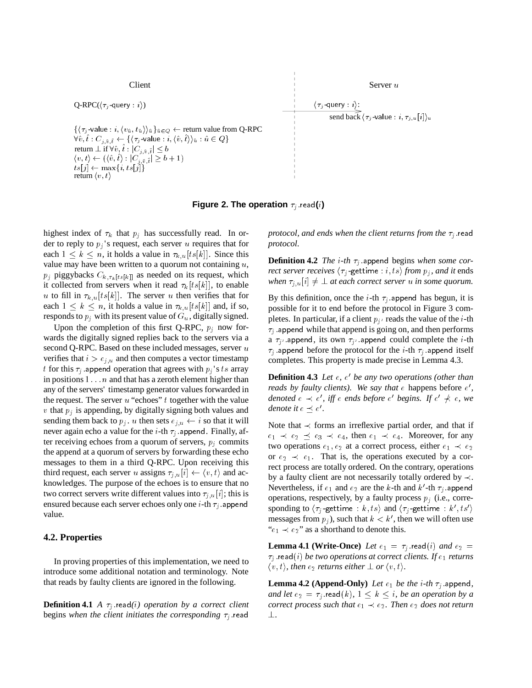

**Figure 2. The operation**  $\tau_j$  read(*i*)

highest index of  $\tau_k$  that  $p_j$  has successfully read. In order to reply to  $p_j$ 's request, each server u requires that for each  $1 \leq k \leq n$ , it holds a value in  $\tau_{k,u}[ts[k]]$ . Since this value may have been written to a quorum not containing  $u$ ,  $p_j$  piggybacks  $C_{k, \tau_k[t s[k]]}$  as needed on its request, which it collected from servers when it read  $\tau_k[ts[k]]$ , to enable u to fill in  $\tau_{k,u}[ts[k]]$ . The server u then verifies that for each  $1 \leq k \leq n$ , it holds a value in  $\tau_{k,u}[ts[k]]$  and, if so, responds to  $p_j$  with its present value of  $G_u$ , digitally signed.

Upon the completion of this first Q-RPC,  $p_j$  now forwards the digitally signed replies back to the servers via a second Q-RPC. Based on these included messages, server u verifies that  $i>e_{j,u}$  and then computes a vector timestamp t for this  $\tau_i$  append operation that agrees with  $p_j$ 's ts array in positions  $1 \ldots n$  and that has a zeroth element higher than any of the servers' timestamp generator values forwarded in the request. The server  $u$  "echoes"  $t$  together with the value v that  $p_j$  is appending, by digitally signing both values and sending them back to  $p_i$ . u then sets  $e_{j,u} \leftarrow i$  so that it will never again echo a value for the *i*-th  $\tau_j$  append. Finally, after receiving echoes from a quorum of servers,  $p_i$  commits the append at a quorum of servers by forwarding these echo messages to them in a third Q-RPC. Upon receiving this third request, each server u assigns  $\tau_{j,u}[i] \leftarrow \langle v, t \rangle$  and acknowledges. The purpose of the echoes is to ensure that no two correct servers write different values into  $\tau_{j,u}[i]$ ; this is ensured because each server echoes only one *i*-th  $\tau_j$  append value.

#### **4.2. Properties**

In proving properties of this implementation, we need to introduce some additional notation and terminology. Note that reads by faulty clients are ignored in the following.

**Definition 4.1** *A*  $\tau_i$  read(*i*) *operation by a correct client* begins when the client initiates the corresponding  $\tau_j$  read

*protocol, and ends when the client returns from the*  $\tau_i$  read *protocol.*

**Definition 4.2** *The i-th*  $\tau_i$  append begins *when some correct server receives*  $\langle \tau_j$ -gettime : *i*, *ts*) *from*  $p_j$ *, and it* ends *when*  $\tau_{j,u}[i] \neq \bot$  *at each correct server u in some quorum.* 

By this definition, once the *i*-th  $\tau_j$  append has begun, it is possible for it to end before the protocol in Figure 3 completes. In particular, if a client  $p_i$  reads the value of the *i*-th  $\tau_i$  append while that append is going on, and then performs a  $\tau_{i'}$  append, its own  $\tau_{i'}$  append could complete the *i*-th  $\tau_i$  append before the protocol for the *i*-th  $\tau_i$  append itself completes. This property is made precise in Lemma 4.3.

**Definition 4.3** Let  $e$ ,  $e'$  be any two operations (other than *reads by faulty clients). We say that*  $\epsilon$  happens before  $\epsilon'$ , *denoted*  $e \prec e'$ , iff  $e$  ends before  $e'$  begins. If  $e' \nprec e$ , we *denote it*  $\epsilon \preceq \epsilon'$ .

Note that  $\prec$  forms an irreflexive partial order, and that if  $e_1 \prec e_2 \preceq e_3 \prec e_4$ , then  $e_1 \prec e_4$ . Moreover, for any two operations  $e_1, e_2$  at a correct process, either  $e_1 \prec e_2$ or  $e_2 \prec e_1$ . That is, the operations executed by a correct process are totally ordered. On the contrary, operations by a faulty client are not necessarily totally ordered by  $\prec$ . Nevertheless, if  $e_1$  and  $e_2$  are the k-th and k'-th  $\tau_j$  append operations, respectively, by a faulty process  $p_i$  (i.e., corresponding to  $\langle \tau_j$ -gettime : k, ts) and  $\langle \tau_j$ -gettime : k', ts' messages from  $p_j$ ), such that  $k < k'$ , then we will often use " $e_1 \prec e_2$ " as a shorthand to denote this.

**Lemma 4.1 (Write-Once)** Let  $e_1 = \tau_j$  read(i) and  $e_2 =$  $\tau_j$  read(i) *be two operations at correct clients. If*  $e_1$  *returns*  $\langle v, t \rangle$ , then  $e_2$  *returns either*  $\perp$  *or*  $\langle v, t \rangle$ *.* 

**Lemma 4.2 (Append-Only)** Let  $e_1$  be the i-th  $\tau_i$  append, *and let*  $e_2 = \tau_j$  read(k),  $1 \leq k \leq i$ , *be an operation by a correct process such that*  $e_1 \prec e_2$ *. Then*  $e_2$  *does not return* ?*.*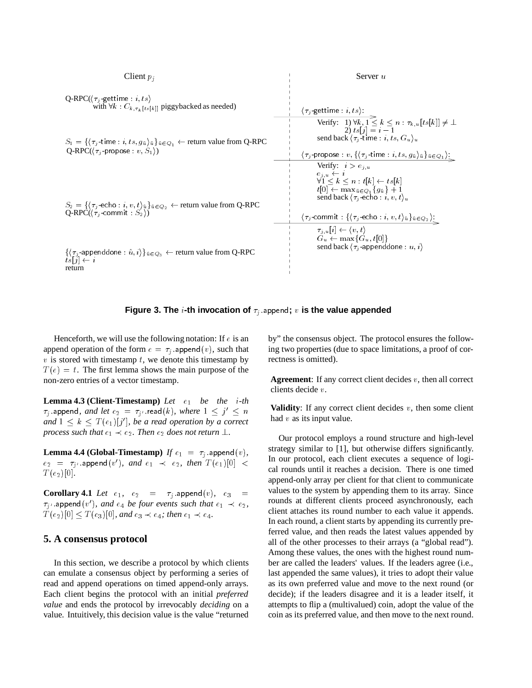#### Client  $p_i$  Server u

 $\mathsf{Q}\text{-}\mathsf{RPC}(\langle \tau_j\text{-} \mathsf{gettime} : i, ts\rangle)$ with  $\forall k$  :  $C_{k, \tau_k[t s[k]]}$  piggybacked as needed)

 $S_1 = \{\langle \tau_j$ -time : i, ts,  $g_{\hat{u}}\rangle_{\hat{u}}\}_{\hat{u}\in Q_1}$   $\leftarrow$  return value from Q-RPC  $Q-RPC(\langle \tau_j\text{-propose} : v, S_1 \rangle)$ 

 $S_2 = \{\langle \tau_j\text{-echo}: i, v, t\rangle_{\hat{u}}\}_{\hat{u}\in Q_2} \leftarrow \text{return value from Q-RPC}$  $\mathsf{Q}\text{-}\mathsf{RPC}(\langle\tau_j\text{-commit}\,:\,S_2\rangle)$  .

 $\{\langle \tau_j\text{-appenddone} : \hat{u}, i \rangle\}_{\hat{u} \in Q_3} \leftarrow \text{return value from Q-RPC}\nts[i] \leftarrow i$ return

$$
\langle \tau_j\text{-gettime}: i, ts\rangle: \\ \hspace{0.3cm} \text{Verify: } 1) \forall k, 1 \leq k \leq n : \tau_{k,u}[ts[k]] \neq \bot \\ \hspace{0.3cm} 2) \; ts[j] = i-1 \\ \hspace{0.3cm} \text{send back } \langle \tau_j\text{-time}: i, ts, G_u \rangle_u \\ \hspace{0.3cm} \text{Verify: } i > e_{j,u} \\ \hspace{0.3cm} \text{Verify: } i > e_{j,u} \\ \hspace{0.3cm} \text{Verify: } i > e_{j,u} \\ \hspace{0.3cm} \text{Verify: } i \geq e_{j,u} \\ \hspace{0.3cm} \text{Verify: } i \geq k \leq n : t[k] \leftarrow ts[k] \\ \hspace{0.3cm} \text{if}[0] \leftarrow \max_{a \in Q_1} \{ga\} + 1 \\ \hspace{0.3cm} \text{send back } \langle \tau_j\text{-echo}: i, v, t \rangle_u \\ \hspace{0.3cm} \text{end back } \langle \tau_j\text{-echo}: i, v, t \rangle_a \}_{a \in Q_2} \rangle: \\ \hspace{0.3cm} \text{and back } \langle \tau_j\text{-appenddone}: u, i \rangle
$$

#### **Figure 3. The i-th invocation of**  $\tau_j$  append; v **is the value appended**

Henceforth, we will use the following notation: If  $e$  is an append operation of the form  $e = \tau_i$  append $(v)$ , such that v is stored with timestamp t, we denote this timestamp by  $T(e) = t$ . The first lemma shows the main purpose of the non-zero entries of a vector timestamp.

**Lemma 4.3 (Client-Timestamp)** Let  $e_1$  be the *i-th*  $\tau_{j}$  append*, and let*  $e_{2}$   $=$   $\tau_{j^{\prime}}$  read(*k*)*, where*  $1 \leq j^{\prime} \leq n$ and  $1 \leq k \leq T(e_1)[j']$ , be a read operation by a correct *process such that*  $e_1 \prec e_2$ *. Then*  $e_2$  *does not return*  $\perp$ *.* 

**Lemma 4.4 (Global-Timestamp)** *If*  $e_1 = \tau_j$  :append $(v)$ *,*  $e_2 = \tau_{i'}$  append $(v')$ *, and*  $e_1 \prec e_2$ *, then*  $T(e_1)[0] <$  $T(e_2)[0]$ .

**Corollary 4.1** *Let*  $e_1$ ,  $e_2$  =  $\tau_j$  append $(v)$ ,  $e_3$  =  $\tau_{j^\prime}$  append $(v^\prime)$ *, and*  $e_4$  *be four events such that*  $e_1 \prec e_2$ *,*  $T(e_2)[0] \leq T(e_3)[0]$ *, and*  $e_3 \prec e_4$ *; then*  $e_1 \prec e_4$ *.* 

# **5. A consensus protocol**

In this section, we describe a protocol by which clients can emulate a consensus object by performing a series of read and append operations on timed append-only arrays. Each client begins the protocol with an initial *preferred value* and ends the protocol by irrevocably *deciding* on a value. Intuitively, this decision value is the value "returned by" the consensus object. The protocol ensures the following two properties (due to space limitations, a proof of correctness is omitted).

**Agreement**: If any correct client decides <sup>v</sup>, then all correct clients decide <sup>v</sup>.

**Validity**: If any correct client decides  $v$ , then some client had  $v$  as its input value.

Our protocol employs a round structure and high-level strategy similar to [1], but otherwise differs significantly. In our protocol, each client executes a sequence of logical rounds until it reaches a decision. There is one timed append-only array per client for that client to communicate values to the system by appending them to its array. Since rounds at different clients proceed asynchronously, each client attaches its round number to each value it appends. In each round, a client starts by appending its currently preferred value, and then reads the latest values appended by all of the other processes to their arrays (a "global read"). Among these values, the ones with the highest round number are called the leaders' values. If the leaders agree (i.e., last appended the same values), it tries to adopt their value as its own preferred value and move to the next round (or decide); if the leaders disagree and it is a leader itself, it attempts to flip a (multivalued) coin, adopt the value of the coin as its preferred value, and then move to the next round.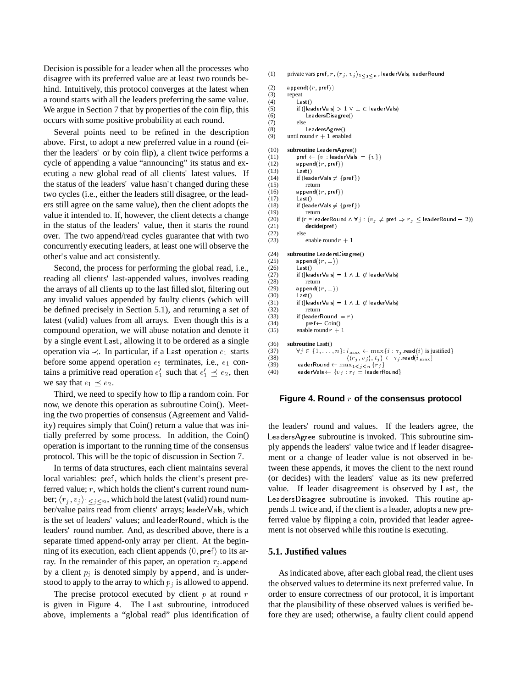Decision is possible for a leader when all the processes who disagree with its preferred value are at least two rounds behind. Intuitively, this protocol converges at the latest when a round starts with all the leaders preferring the same value. We argue in Section 7 that by properties of the coin flip, this occurs with some positive probability at each round.

Several points need to be refined in the description above. First, to adopt a new preferred value in a round (either the leaders' or by coin flip), a client twice performs a cycle of appending a value "announcing" its status and executing a new global read of all clients' latest values. If the status of the leaders' value hasn't changed during these two cycles (i.e., either the leaders still disagree, or the leaders still agree on the same value), then the client adopts the value it intended to. If, however, the client detects a change in the status of the leaders' value, then it starts the round over. The two append/read cycles guarantee that with two concurrently executing leaders, at least one will observe the other's value and act consistently.

Second, the process for performing the global read, i.e., reading all clients' last-appended values, involves reading the arrays of all clients up to the last filled slot, filtering out any invalid values appended by faulty clients (which will be defined precisely in Section 5.1), and returning a set of latest (valid) values from all arrays. Even though this is a compound operation, we will abuse notation and denote it by a single event Last, allowing it to be ordered as a single operation via  $\prec$ . In particular, if a Last operation  $e_1$  starts before some append operation  $e_2$  terminates, i.e.,  $e_1$  contains a primitive read operation  $e'_1$  such that  $e'_1 \preceq e_2$ , then we say that  $e_1 \prec e_2$ .

Third, we need to specify how to flip a random coin. For now, we denote this operation as subroutine Coin(). Meeting the two properties of consensus (Agreement and Validity) requires simply that Coin() return a value that was initially preferred by some process. In addition, the Coin() operation is important to the running time of the consensus protocol. This will be the topic of discussion in Section 7.

In terms of data structures, each client maintains several local variables: pref, which holds the client's present preferred value; r, which holds the client's current round number;  $\langle r_i, v_j \rangle_{1 \leq j \leq n}$ , which hold the latest (valid) round number/value pairs read from clients' arrays; leaderVals, which is the set of leaders' values; and leaderRound, which is the leaders' round number. And, as described above, there is a separate timed append-only array per client. At the beginning of its execution, each client appends  $\langle 0, \text{pref} \rangle$  to its array. In the remainder of this paper, an operation  $\tau_j$  append by a client  $p_j$  is denoted simply by append, and is understood to apply to the array to which  $p_j$  is allowed to append.

The precise protocol executed by client  $p$  at round  $r$ is given in Figure 4. The Last subroutine, introduced above, implements a "global read" plus identification of

```
(1) private vars pref, r, \langle r_j, v_j \rangle_{1 \leq j \leq n}, leaderVals, leaderRound
(2) append(\langle r, \text{pref} \rangle)<br>(3) repeat
           repeat
(4) Last()
(5) if (|leaderVals| > 1 \vee \perp \in leaderVals)
(6) LeadersDisagree()
(7) else
(8) LeadersAgree()
(9) until round r + 1 enabled
(10) subroutine LeadersAgree()
(11) pref \leftarrow (v : \textsf{leaderVals} = \{v\})(12) append(\langle r, \text{pref} \rangle)<br>(13) Last()
                 Last()(14) if (leaderVals \neq {pref})<br>(15) return
                      return
(16) append(\langle r, \text{pref} \rangle)<br>(17) Last()
                 Last()(18) if (leaderVals \neq {pref})
(19) return<br>(20) if (r = |ea)(20) if (r = \text{leaderRound} \land \forall j : (v_j \neq \text{pref} \Rightarrow r_j \leq \text{leaderRound} - 2))<br>(21) decide(pref)
                 decide(pref)<br>else
(22)(23) enable round r + 1(24) subroutine Leaders Disagree()<br>(25) append(\langle r, \perp \rangle)
(25) append(\langle r, \perp \rangle)<br>(26) Last()
                 Last()(27) if (|leaderVals| = 1 \wedge \bot \not\in leaderVals)<br>(28) return
                     return
(29) append(\langle r, \perp \rangle)<br>(30) Last()
                 Last()(31) if (||eaderVals| = 1 \wedge \perp \mathcal{G} leaderVals)<br>(32) return
(32) return<br>(33) if (leaderl
(33) if (leaderRound \equiv r)<br>(34) pref \leftarrow Coin()
(34) pref \leftarrow Coin()<br>(35) enable round r +enable round r + 1(36) subroutine Last()<br>(37) \forall j \in \{1, \ldots, n\}(37) \forall j \in \{1, \ldots, n\} : i_{\max} \leftarrow \max\{i : \tau_j \text{, read}(i) \text{ is justified}\}\<br>(38) \{(\tau_i, y_j), \tau_j\} \leftarrow \tau_j \text{, read}(i_{\max})(38) \langle \langle r_j, v_j \rangle, t_j \rangle \leftarrow \tau_j.\mathsf{read}(i_\mathrm{max})<br>(39) leaderRound \leftarrow \max_{1 \leq j \leq n} \{r_j\}<br>(40) leaderVals \leftarrow \{v_j : r_j = \text{leaderRound}\}
```
#### **Figure 4. Round** <sup>r</sup> **of the consensus protocol**

the leaders' round and values. If the leaders agree, the LeadersAgree subroutine is invoked. This subroutine simply appends the leaders' value twice and if leader disagreement or a change of leader value is not observed in between these appends, it moves the client to the next round (or decides) with the leaders' value as its new preferred value. If leader disagreement is observed by Last, the LeadersDisagree subroutine is invoked. This routine appends  $\perp$  twice and, if the client is a leader, adopts a new preferred value by flipping a coin, provided that leader agreement is not observed while this routine is executing.

#### **5.1. Justified values**

As indicated above, after each global read, the client uses the observed values to determine its next preferred value. In order to ensure correctness of our protocol, it is important that the plausibility of these observed values is verified before they are used; otherwise, a faulty client could append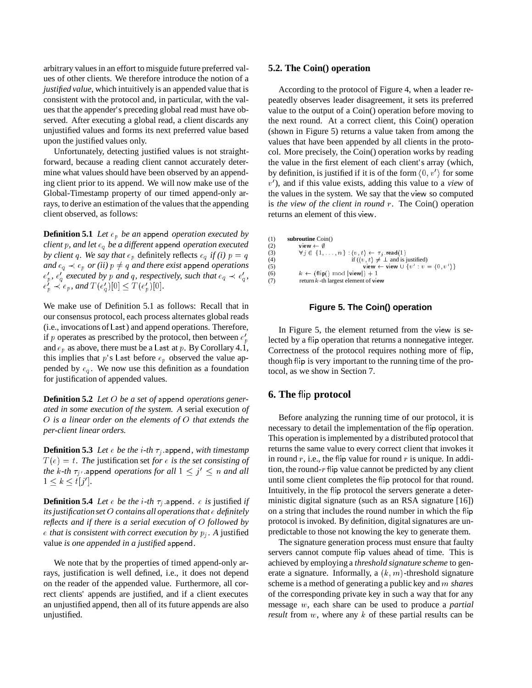arbitrary values in an effort to misguide future preferred values of other clients. We therefore introduce the notion of a *justified value*, which intuitively is an appended value that is consistent with the protocol and, in particular, with the values that the appender's preceding global read must have observed. After executing a global read, a client discards any unjustified values and forms its next preferred value based upon the justified values only.

Unfortunately, detecting justified values is not straightforward, because a reading client cannot accurately determine what values should have been observed by an appending client prior to its append. We will now make use of the Global-Timestamp property of our timed append-only arrays, to derive an estimation of the values that the appending client observed, as follows:

**Definition 5.1** *Let*  $e_p$  *be an* append *operation executed by client* <sup>p</sup>*, and let* eq *be a different* append *operation executed by client* q*.* We say that  $e_p$  definitely reflects  $e_q$  *if (i)*  $p = q$ *and*  $e_q \prec e_p$  *or (ii)*  $p \neq q$  *and there exist* append *operations*  $e'_p$ ,  $e'_g$  executed by p and q, respectively, such that  $e_q \prec e'_g$ ,  $e'_{p} \prec e_{p}$ , and  $T(e'_{q})[0] \leq T(e'_{p})[0]$ .

We make use of Definition 5.1 as follows: Recall that in our consensus protocol, each process alternates global reads (i.e., invocations of Last) and append operations. Therefore, if p operates as prescribed by the protocol, then between  $e_p'$ and  $e_p$  as above, there must be a Last at p. By Corollary 4.1, this implies that  $p$ 's Last before  $e_p$  observed the value appended by  $e_q$ . We now use this definition as a foundation for justification of appended values.

**Definition 5.2** *Let* <sup>O</sup> *be a set of* append *operations generated in some execution of the system. A* serial execution *of* <sup>O</sup> *is a linear order on the elements of* <sup>O</sup> *that extends the per-client linear orders.*

**Definition 5.3** *Let*  $\epsilon$  *be the i*-th  $\tau_i$  append, with timestamp  $T(e) = t$ . The justification set *for* e *is the set consisting of the k-th*  $\tau_{j'}$  *append operations for all*  $1 \leq j' \leq n$  *and all*  $1 \leq k \leq t[j']$ .

**Definition 5.4** *Let*  $e$  *be the*  $i$ -*th*  $\tau_j$  append.  $e$  *is* justified *if its justificationset* <sup>O</sup> *contains all operations that* <sup>e</sup> *definitely reflects and if there is a serial execution of* <sup>O</sup> *followed by*  $e$  *that is consistent with correct execution by*  $p_i$ *. A justified* value *is one appended in a justified* append*.*

We note that by the properties of timed append-only arrays, justification is well defined, i.e., it does not depend on the reader of the appended value. Furthermore, all correct clients' appends are justified, and if a client executes an unjustified append, then all of its future appends are also unjustified.

#### **5.2. The Coin() operation**

According to the protocol of Figure 4, when a leader repeatedly observes leader disagreement, it sets its preferred value to the output of a Coin() operation before moving to the next round. At a correct client, this Coin() operation (shown in Figure 5) returns a value taken from among the values that have been appended by all clients in the protocol. More precisely, the Coin() operation works by reading the value in the first element of each client's array (which, by definition, is justified if it is of the form  $\langle 0, v' \rangle$  for some  $v'$ ), and if this value exists, adding this value to a *view* of the values in the system. We say that the view so computed is *the view of the client in round* <sup>r</sup>. The Coin() operation returns an element of this view.

```
(1) subroutine Coin() (2) view \leftarrow \emptyset(2) view \leftarrow \emptyset<br>(3) \forall j \in \{1\}(3) \forall j \in \{1, ..., n\} : \{v, t\} \leftarrow \tau_j \text{.read}(1)<br>
(4) if (\langle v, t \rangle \neq \bot \text{ and is justified})<br>
view \leftarrow view \cup \{v' : v = \langle 0, v' \rangle\}(6) k \leftarrow (\text{flip}() \mod |\text{view}|) + 1(7) return k-th largest element of view
```
#### **Figure 5. The Coin() operation**

In Figure 5, the element returned from the view is selected by a flip operation that returns a nonnegative integer. Correctness of the protocol requires nothing more of flip, though flip is very important to the running time of the protocol, as we show in Section 7.

## **6. The flip protocol**

Before analyzing the running time of our protocol, it is necessary to detail the implementation of the flip operation. This operation is implemented by a distributed protocol that returns the same value to every correct client that invokes it in round  $r$ , i.e., the flip value for round  $r$  is unique. In addition, the round- $r$  flip value cannot be predicted by any client until some client completes the flip protocol for that round. Intuitively, in the flip protocol the servers generate a deterministic digital signature (such as an RSA signature [16]) on a string that includes the round number in which the flip protocol is invoked. By definition, digital signatures are unpredictable to those not knowing the key to generate them.

The signature generation process must ensure that faulty servers cannot compute flip values ahead of time. This is achieved by employing a *threshold signature scheme* to generate a signature. Informally, a  $(k, m)$ -threshold signature scheme is a method of generating a public key and <sup>m</sup> *shares* of the corresponding private key in such a way that for any message <sup>w</sup>, each share can be used to produce a *partial result* from w, where any k of these partial results can be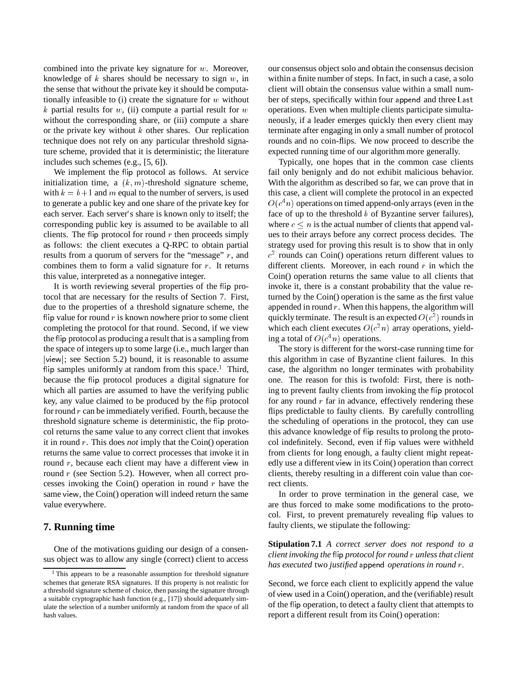combined into the private key signature for  $w$ . Moreover, knowledge of  $k$  shares should be necessary to sign  $w$ , in the sense that without the private key it should be computationally infeasible to (i) create the signature for  $w$  without k partial results for  $w$ , (ii) compute a partial result for  $w$ without the corresponding share, or (iii) compute a share or the private key without  $k$  other shares. Our replication technique does not rely on any particular threshold signature scheme, provided that it is deterministic; the literature includes such schemes (e.g., [5, 6]).

We implement the flip protocol as follows. At service initialization time, a  $(k, m)$ -threshold signature scheme, with  $k = b+1$  and m equal to the number of servers, is used to generate a public key and one share of the private key for each server. Each server's share is known only to itself; the corresponding public key is assumed to be available to all clients. The flip protocol for round  $r$  then proceeds simply as follows: the client executes a Q-RPC to obtain partial results from a quorum of servers for the "message" <sup>r</sup>, and combines them to form a valid signature for  $r$ . It returns this value, interpreted as a nonnegative integer.

It is worth reviewing several properties of the flip protocol that are necessary for the results of Section 7. First, due to the properties of a threshold signature scheme, the flip value for round  $r$  is known nowhere prior to some client completing the protocol for that round. Second, if we view the ip protocol as producing a result that is a sampling from the space of integers up to some large (i.e., much larger than jviewj; see Section 5.2) bound, it is reasonable to assume flip samples uniformly at random from this space.<sup>1</sup> Third, because the flip protocol produces a digital signature for which all parties are assumed to have the verifying public key, any value claimed to be produced by the flip protocol for round  $r$  can be immediately verified. Fourth, because the threshold signature scheme is deterministic, the flip protocol returns the same value to any correct client that invokes it in round <sup>r</sup>. This does *not* imply that the Coin() operation returns the same value to correct processes that invoke it in round r, because each client may have a different view in round  $r$  (see Section 5.2). However, when all correct processes invoking the Coin() operation in round  $r$  have the same view, the Coin() operation will indeed return the same value everywhere.

## **7. Running time**

One of the motivations guiding our design of a consensus object was to allow any single (correct) client to access our consensus object solo and obtain the consensus decision within a finite number of steps. In fact, in such a case, a solo client will obtain the consensus value within a small number of steps, specifically within four append and three Last operations. Even when multiple clients participate simultaneously, if a leader emerges quickly then every client may terminate after engaging in only a small number of protocol rounds and no coin-flips. We now proceed to describe the expected running time of our algorithm more generally.

Typically, one hopes that in the common case clients fail only benignly and do not exhibit malicious behavior. With the algorithm as described so far, we can prove that in this case, a client will complete the protocol in an expected  $O(c<sup>4</sup>n)$  operations on timed append-only arrays (even in the face of up to the threshold  $b$  of Byzantine server failures), where  $c \le n$  is the actual number of clients that append values to their arrays before any correct process decides. The strategy used for proving this result is to show that in only  $c<sup>2</sup>$  rounds can Coin() operations return different values to different clients. Moreover, in each round  $r$  in which the Coin() operation returns the same value to all clients that invoke it, there is a constant probability that the value returned by the Coin() operation is the same as the first value appended in round  $r$ . When this happens, the algorithm will quickly terminate. The result is an expected  $O(c^2)$  rounds in which each client executes  $O(c^2n)$  array operations, yielding a total of  $O(c^4n)$  operations.

The story is different for the worst-case running time for this algorithm in case of Byzantine client failures. In this case, the algorithm no longer terminates with probability one. The reason for this is twofold: First, there is nothing to prevent faulty clients from invoking the flip protocol for any round  $r$  far in advance, effectively rendering these flips predictable to faulty clients. By carefully controlling the scheduling of operations in the protocol, they can use this advance knowledge of ip results to prolong the protocol indefinitely. Second, even if ip values were withheld from clients for long enough, a faulty client might repeatedly use a different view in its Coin() operation than correct clients, thereby resulting in a different coin value than correct clients.

In order to prove termination in the general case, we are thus forced to make some modifications to the protocol. First, to prevent prematurely revealing flip values to faulty clients, we stipulate the following:

**Stipulation 7.1** *A correct server does not respond to a client invoking the* ip *protocol for round* <sup>r</sup> *unless that client has executed* two *justified* append *operations in round* <sup>r</sup>*.*

Second, we force each client to explicitly append the value of view used in a Coin() operation, and the (verifiable) result of the ip operation, to detect a faulty client that attempts to report a different result from its Coin() operation:

<sup>&</sup>lt;sup>1</sup>This appears to be a reasonable assumption for threshold signature schemes that generate RSA signatures. If this property is not realistic for a threshold signature scheme of choice, then passing the signature through a suitable cryptographic hash function (e.g., [17]) should adequately simulate the selection of a number uniformly at random from the space of all hash values.